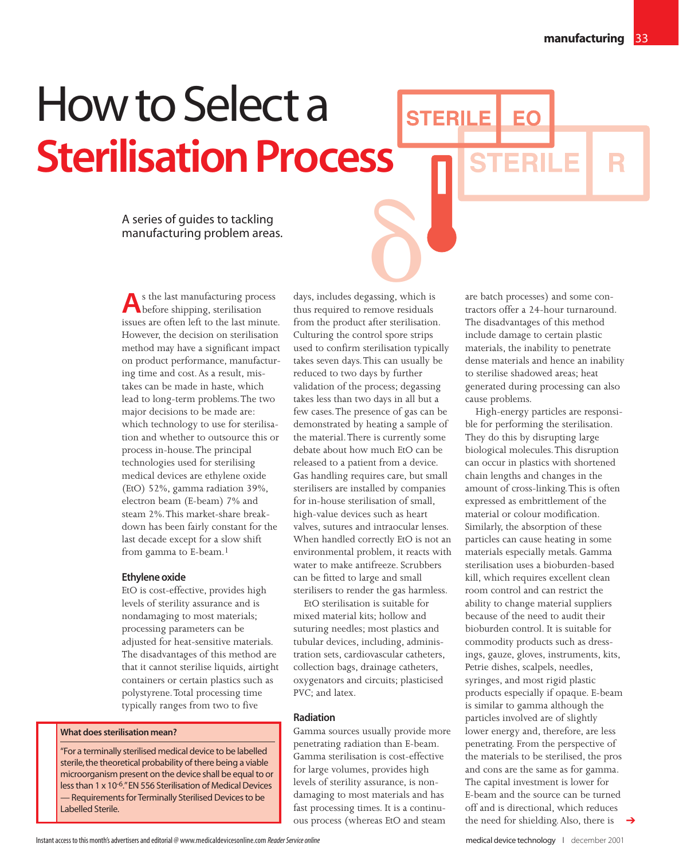R

# How to Select a **Sterilisation Process**

A series of guides to tackling manufacturing problem areas.

**A**s the last manufacturing process before shipping, sterilisation issues are often left to the last minute. However, the decision on sterilisation method may have a significant impact on product performance, manufacturing time and cost. As a result, mistakes can be made in haste, which lead to long-term problems.The two major decisions to be made are: which technology to use for sterilisation and whether to outsource this or process in-house.The principal technologies used for sterilising medical devices are ethylene oxide (EtO) 52%, gamma radiation 39%, electron beam (E-beam) 7% and steam 2%.This market-share breakdown has been fairly constant for the last decade except for a slow shift from gamma to E-beam.<sup>1</sup>

## **Ethylene oxide**

EtO is cost-effective, provides high levels of sterility assurance and is nondamaging to most materials; processing parameters can be adjusted for heat-sensitive materials. The disadvantages of this method are that it cannot sterilise liquids, airtight containers or certain plastics such as polystyrene.Total processing time typically ranges from two to five

# **What does sterilisation mean?**

"For a terminally sterilised medical device to be labelled sterile, the theoretical probability of there being a viable microorganism present on the device shall be equal to or less than 1 x 10-6."EN 556 Sterilisation of Medical Devices — Requirements for Terminally Sterilised Devices to be Labelled Sterile.

days, includes degassing, which is thus required to remove residuals from the product after sterilisation. Culturing the control spore strips used to confirm sterilisation typically takes seven days.This can usually be reduced to two days by further validation of the process; degassing takes less than two days in all but a few cases.The presence of gas can be demonstrated by heating a sample of the material.There is currently some debate about how much EtO can be released to a patient from a device. Gas handling requires care, but small sterilisers are installed by companies for in-house sterilisation of small, high-value devices such as heart valves, sutures and intraocular lenses. When handled correctly EtO is not an environmental problem, it reacts with water to make antifreeze. Scrubbers can be fitted to large and small sterilisers to render the gas harmless. Rassing, which

EtO sterilisation is suitable for mixed material kits; hollow and suturing needles; most plastics and tubular devices, including, administration sets, cardiovascular catheters, collection bags, drainage catheters, oxygenators and circuits; plasticised PVC; and latex.

## **Radiation**

Gamma sources usually provide more penetrating radiation than E-beam. Gamma sterilisation is cost-effective for large volumes, provides high levels of sterility assurance, is nondamaging to most materials and has fast processing times. It is a continuous process (whereas EtO and steam

are batch processes) and some contractors offer a 24-hour turnaround. The disadvantages of this method include damage to certain plastic materials, the inability to penetrate dense materials and hence an inability to sterilise shadowed areas; heat generated during processing can also cause problems.

**FRII F** 

**STERILE** 

High-energy particles are responsible for performing the sterilisation. They do this by disrupting large biological molecules.This disruption can occur in plastics with shortened chain lengths and changes in the amount of cross-linking.This is often expressed as embrittlement of the material or colour modification. Similarly, the absorption of these particles can cause heating in some materials especially metals. Gamma sterilisation uses a bioburden-based kill, which requires excellent clean room control and can restrict the ability to change material suppliers because of the need to audit their bioburden control. It is suitable for commodity products such as dressings, gauze, gloves, instruments, kits, Petrie dishes, scalpels, needles, syringes, and most rigid plastic products especially if opaque. E-beam is similar to gamma although the particles involved are of slightly lower energy and, therefore, are less penetrating. From the perspective of the materials to be sterilised, the pros and cons are the same as for gamma. The capital investment is lower for E-beam and the source can be turned off and is directional, which reduces the need for shielding. Also, there is

➔